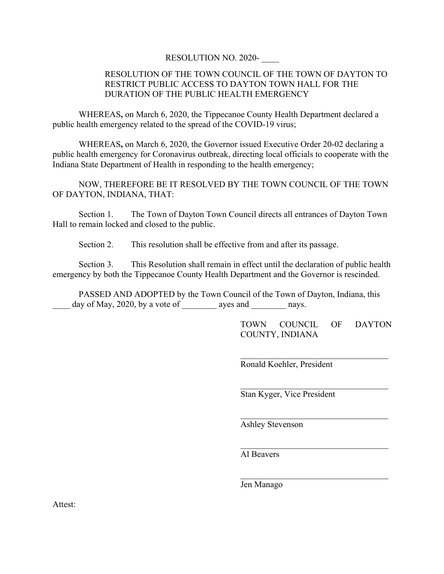## RESOLUTION NO. 2020- \_\_\_\_

## RESOLUTION OF THE TOWN COUNCIL OF THE TOWN OF DAYTON TO RESTRICT PUBLIC ACCESS TO DAYTON TOWN HALL FOR THE DURATION OF THE PUBLIC HEALTH EMERGENCY

WHEREAS**,** on March 6, 2020, the Tippecanoe County Health Department declared a public health emergency related to the spread of the COVID-19 virus;

WHEREAS**,** on March 6, 2020, the Governor issued Executive Order 20-02 declaring a public health emergency for Coronavirus outbreak, directing local officials to cooperate with the Indiana State Department of Health in responding to the health emergency;

NOW, THEREFORE BE IT RESOLVED BY THE TOWN COUNCIL OF THE TOWN OF DAYTON, INDIANA, THAT:

Section 1. The Town of Dayton Town Council directs all entrances of Dayton Town Hall to remain locked and closed to the public.

Section 2. This resolution shall be effective from and after its passage.

Section 3. This Resolution shall remain in effect until the declaration of public health emergency by both the Tippecanoe County Health Department and the Governor is rescinded.

PASSED AND ADOPTED by the Town Council of the Town of Dayton, Indiana, this  $\frac{day \text{ of May}}{2020}$ , by a vote of  $\frac{1}{20}$  ayes and  $\frac{1}{20}$  nays.

> TOWN COUNCIL OF DAYTON COUNTY, INDIANA

 $\mathcal{L}=\mathcal{L}=\mathcal{L}=\mathcal{L}=\mathcal{L}=\mathcal{L}=\mathcal{L}=\mathcal{L}=\mathcal{L}=\mathcal{L}=\mathcal{L}=\mathcal{L}=\mathcal{L}=\mathcal{L}=\mathcal{L}=\mathcal{L}=\mathcal{L}=\mathcal{L}=\mathcal{L}=\mathcal{L}=\mathcal{L}=\mathcal{L}=\mathcal{L}=\mathcal{L}=\mathcal{L}=\mathcal{L}=\mathcal{L}=\mathcal{L}=\mathcal{L}=\mathcal{L}=\mathcal{L}=\mathcal{L}=\mathcal{L}=\mathcal{L}=\mathcal{L}=\mathcal{L}=\mathcal{$ 

 $\mathcal{L}=\mathcal{L}=\mathcal{L}=\mathcal{L}=\mathcal{L}=\mathcal{L}=\mathcal{L}=\mathcal{L}=\mathcal{L}=\mathcal{L}=\mathcal{L}=\mathcal{L}=\mathcal{L}=\mathcal{L}=\mathcal{L}=\mathcal{L}=\mathcal{L}=\mathcal{L}=\mathcal{L}=\mathcal{L}=\mathcal{L}=\mathcal{L}=\mathcal{L}=\mathcal{L}=\mathcal{L}=\mathcal{L}=\mathcal{L}=\mathcal{L}=\mathcal{L}=\mathcal{L}=\mathcal{L}=\mathcal{L}=\mathcal{L}=\mathcal{L}=\mathcal{L}=\mathcal{L}=\mathcal{$ 

Ronald Koehler, President

Stan Kyger, Vice President

Ashley Stevenson

Al Beavers

Jen Manago

Attest: